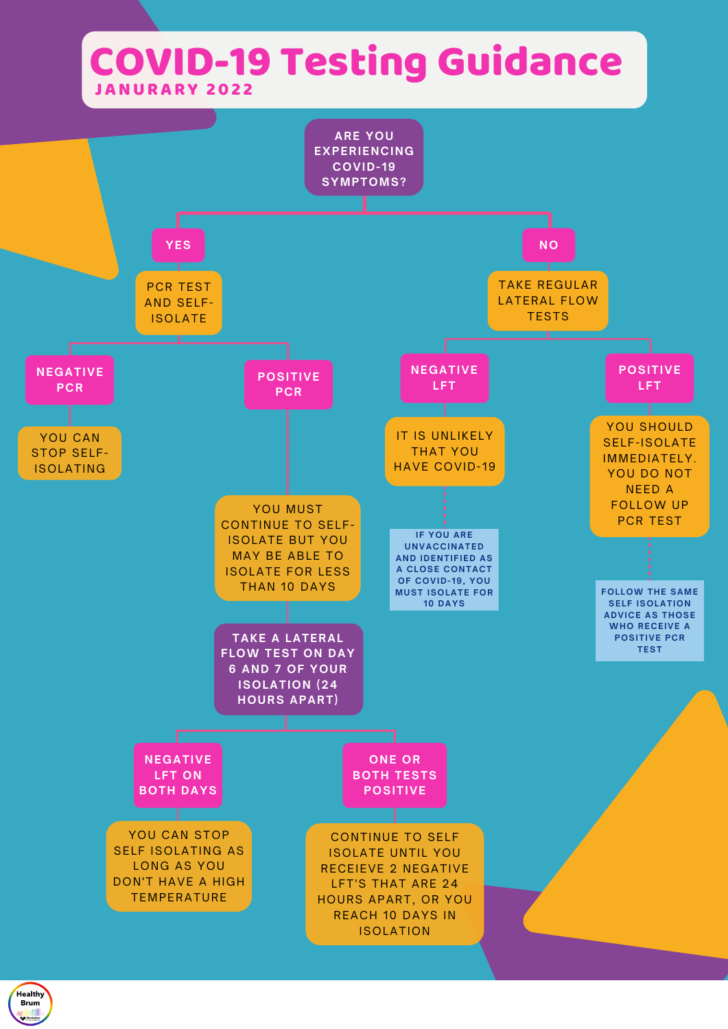